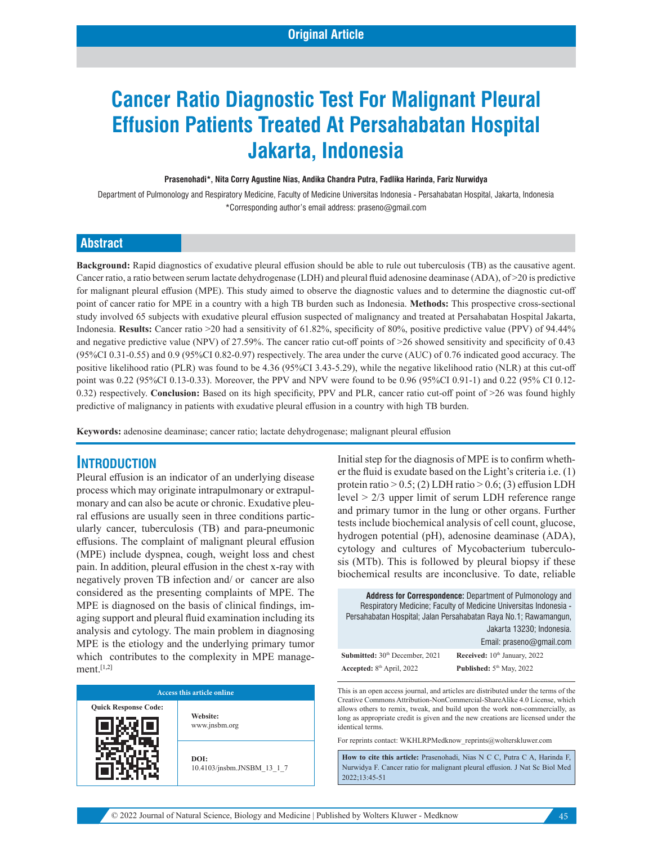# **Cancer Ratio Diagnostic Test For Malignant Pleural Effusion Patients Treated At Persahabatan Hospital Jakarta, Indonesia**

#### **Prasenohadi\*, Nita Corry Agustine Nias, Andika Chandra Putra, Fadlika Harinda, Fariz Nurwidya**

Department of Pulmonology and Respiratory Medicine, Faculty of Medicine Universitas Indonesia - Persahabatan Hospital, Jakarta, Indonesia \*Corresponding author's email address: praseno@gmail.com

#### **Abstract**

**Background:** Rapid diagnostics of exudative pleural effusion should be able to rule out tuberculosis (TB) as the causative agent. Cancer ratio, a ratio between serum lactate dehydrogenase (LDH) and pleural fluid adenosine deaminase (ADA), of >20 is predictive for malignant pleural effusion (MPE). This study aimed to observe the diagnostic values and to determine the diagnostic cut-off point of cancer ratio for MPE in a country with a high TB burden such as Indonesia. **Methods:** This prospective cross-sectional study involved 65 subjects with exudative pleural effusion suspected of malignancy and treated at Persahabatan Hospital Jakarta, Indonesia. **Results:** Cancer ratio >20 had a sensitivity of 61.82%, specificity of 80%, positive predictive value (PPV) of 94.44% and negative predictive value (NPV) of 27.59%. The cancer ratio cut-off points of >26 showed sensitivity and specificity of 0.43 (95%CI 0.31-0.55) and 0.9 (95%CI 0.82-0.97) respectively. The area under the curve (AUC) of 0.76 indicated good accuracy. The positive likelihood ratio (PLR) was found to be 4.36 (95%CI 3.43-5.29), while the negative likelihood ratio (NLR) at this cut-off point was 0.22 (95%CI 0.13-0.33). Moreover, the PPV and NPV were found to be 0.96 (95%CI 0.91-1) and 0.22 (95% CI 0.12- 0.32) respectively. **Conclusion:** Based on its high specificity, PPV and PLR, cancer ratio cut-off point of >26 was found highly predictive of malignancy in patients with exudative pleural effusion in a country with high TB burden.

**Keywords:** adenosine deaminase; cancer ratio; lactate dehydrogenase; malignant pleural effusion

#### **INTRODUCTION**

Pleural effusion is an indicator of an underlying disease process which may originate intrapulmonary or extrapulmonary and can also be acute or chronic. Exudative pleural effusions are usually seen in three conditions particularly cancer, tuberculosis (TB) and para-pneumonic effusions. The complaint of malignant pleural effusion (MPE) include dyspnea, cough, weight loss and chest pain. In addition, pleural effusion in the chest x-ray with negatively proven TB infection and/ or cancer are also considered as the presenting complaints of MPE. The MPE is diagnosed on the basis of clinical findings, imaging support and pleural fluid examination including its analysis and cytology. The main problem in diagnosing MPE is the etiology and the underlying primary tumor which contributes to the complexity in MPE management.[1,2]

| Access this article online  |                                    |  |  |
|-----------------------------|------------------------------------|--|--|
| <b>Quick Response Code:</b> | Website:<br>www.jnsbm.org          |  |  |
|                             | DOI:<br>10.4103/jnsbm.JNSBM 13 1 7 |  |  |

Initial step for the diagnosis of MPE is to confirm whether the fluid is exudate based on the Light's criteria i.e. (1) protein ratio  $> 0.5$ ; (2) LDH ratio  $> 0.6$ ; (3) effusion LDH level > 2/3 upper limit of serum LDH reference range and primary tumor in the lung or other organs. Further tests include biochemical analysis of cell count, glucose, hydrogen potential (pH), adenosine deaminase (ADA), cytology and cultures of Mycobacterium tuberculosis (MTb). This is followed by pleural biopsy if these biochemical results are inconclusive. To date, reliable

|                                       | <b>Address for Correspondence:</b> Department of Pulmonology and<br>Respiratory Medicine; Faculty of Medicine Universitas Indonesia -<br>Persahabatan Hospital; Jalan Persahabatan Raya No.1; Rawamangun,<br>Jakarta 13230; Indonesia.<br>Email: praseno@gmail.com |
|---------------------------------------|--------------------------------------------------------------------------------------------------------------------------------------------------------------------------------------------------------------------------------------------------------------------|
| Submitted: 30th December, 2021        | Received: 10th January, 2022                                                                                                                                                                                                                                       |
| Accepted: 8 <sup>th</sup> April, 2022 | Published: 5 <sup>th</sup> May, 2022                                                                                                                                                                                                                               |

This is an open access journal, and articles are distributed under the terms of the Creative Commons Attribution‑NonCommercial‑ShareAlike 4.0 License, which allows others to remix, tweak, and build upon the work non‑commercially, as long as appropriate credit is given and the new creations are licensed under the identical terms.

For reprints contact: WKHLRPMedknow\_reprints@wolterskluwer.com

**How to cite this article:** Prasenohadi, Nias N C C, Putra C A, Harinda F, Nurwidya F. Cancer ratio for malignant pleural effusion. J Nat Sc Biol Med 2022;13:45-51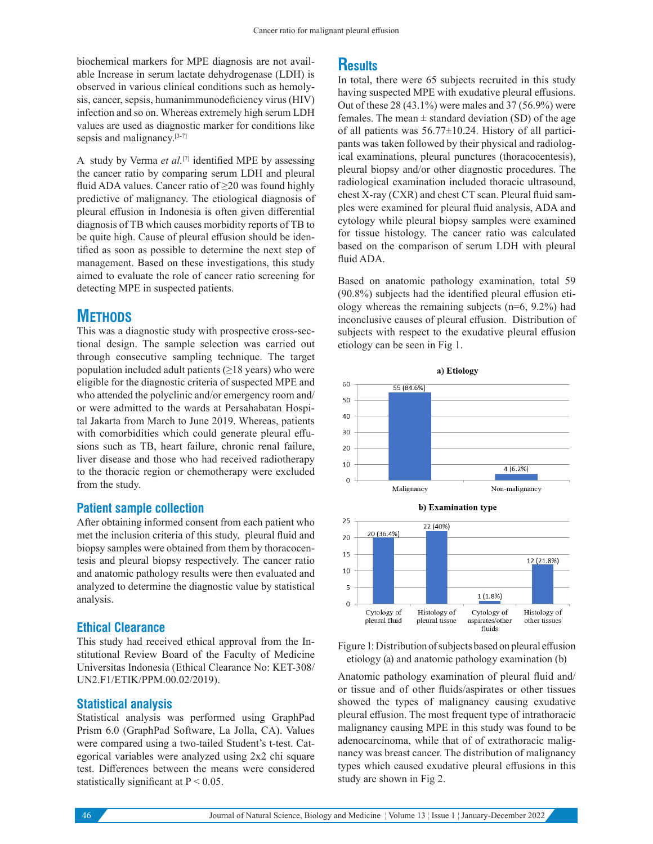biochemical markers for MPE diagnosis are not available Increase in serum lactate dehydrogenase (LDH) is observed in various clinical conditions such as hemolysis, cancer, sepsis, humanimmunodeficiency virus (HIV) infection and so on. Whereas extremely high serum LDH values are used as diagnostic marker for conditions like sepsis and malignancy.<sup>[3-7]</sup>

A study by Verma *et al.*[7] identified MPE by assessing the cancer ratio by comparing serum LDH and pleural fluid ADA values. Cancer ratio of  $\geq$ 20 was found highly predictive of malignancy. The etiological diagnosis of pleural effusion in Indonesia is often given differential diagnosis of TB which causes morbidity reports of TB to be quite high. Cause of pleural effusion should be identified as soon as possible to determine the next step of management. Based on these investigations, this study aimed to evaluate the role of cancer ratio screening for detecting MPE in suspected patients.

## **METHODS**

This was a diagnostic study with prospective cross-sectional design. The sample selection was carried out through consecutive sampling technique. The target population included adult patients  $(≥18$  years) who were eligible for the diagnostic criteria of suspected MPE and who attended the polyclinic and/or emergency room and/ or were admitted to the wards at Persahabatan Hospital Jakarta from March to June 2019. Whereas, patients with comorbidities which could generate pleural effusions such as TB, heart failure, chronic renal failure, liver disease and those who had received radiotherapy to the thoracic region or chemotherapy were excluded from the study.

#### **Patient sample collection**

After obtaining informed consent from each patient who met the inclusion criteria of this study, pleural fluid and biopsy samples were obtained from them by thoracocentesis and pleural biopsy respectively. The cancer ratio and anatomic pathology results were then evaluated and analyzed to determine the diagnostic value by statistical analysis.

#### **Ethical Clearance**

This study had received ethical approval from the Institutional Review Board of the Faculty of Medicine Universitas Indonesia (Ethical Clearance No: KET-308/ UN2.F1/ETIK/PPM.00.02/2019).

#### **Statistical analysis**

Statistical analysis was performed using GraphPad Prism 6.0 (GraphPad Software, La Jolla, CA). Values were compared using a two-tailed Student's t-test. Categorical variables were analyzed using 2x2 chi square test. Differences between the means were considered statistically significant at  $P < 0.05$ .

#### **Results**

In total, there were 65 subjects recruited in this study having suspected MPE with exudative pleural effusions. Out of these 28 (43.1%) were males and 37 (56.9%) were females. The mean  $\pm$  standard deviation (SD) of the age of all patients was  $56.77 \pm 10.24$ . History of all participants was taken followed by their physical and radiological examinations, pleural punctures (thoracocentesis), pleural biopsy and/or other diagnostic procedures. The radiological examination included thoracic ultrasound, chest X-ray (CXR) and chest CT scan. Pleural fluid samples were examined for pleural fluid analysis, ADA and cytology while pleural biopsy samples were examined for tissue histology. The cancer ratio was calculated based on the comparison of serum LDH with pleural fluid ADA.

Based on anatomic pathology examination, total 59 (90.8%) subjects had the identified pleural effusion etiology whereas the remaining subjects  $(n=6, 9.2\%)$  had inconclusive causes of pleural effusion. Distribution of subjects with respect to the exudative pleural effusion etiology can be seen in Fig 1.



Figure 1: Distribution of subjects based on pleural effusion etiology (a) and anatomic pathology examination (b)

Anatomic pathology examination of pleural fluid and/ or tissue and of other fluids/aspirates or other tissues showed the types of malignancy causing exudative pleural effusion. The most frequent type of intrathoracic malignancy causing MPE in this study was found to be adenocarcinoma, while that of of extrathoracic malignancy was breast cancer. The distribution of malignancy types which caused exudative pleural effusions in this study are shown in Fig 2.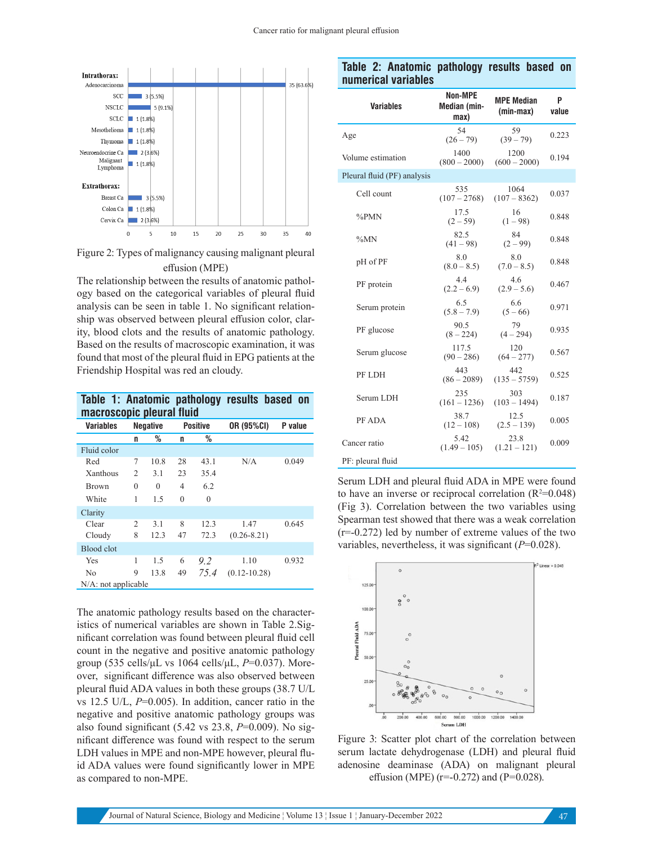

Figure 2: Types of malignancy causing malignant pleural effusion (MPE)

The relationship between the results of anatomic pathology based on the categorical variables of pleural fluid analysis can be seen in table 1. No significant relationship was observed between pleural effusion color, clarity, blood clots and the results of anatomic pathology. Based on the results of macroscopic examination, it was found that most of the pleural fluid in EPG patients at the Friendship Hospital was red an cloudy.

| macroscopic pleural fluid |   |                                    |          |          | Table 1: Anatomic pathology results based on |         |
|---------------------------|---|------------------------------------|----------|----------|----------------------------------------------|---------|
| Variables                 |   | <b>Negative</b><br><b>Positive</b> |          |          | OR (95%CI)                                   | P value |
|                           | n | %                                  | n        | ℅        |                                              |         |
| Fluid color               |   |                                    |          |          |                                              |         |
| Red                       | 7 | 10.8                               | 28       | 43.1     | N/A                                          | 0.049   |
| Xanthous                  | 2 | 3.1                                | 23       | 35.4     |                                              |         |
| <b>Brown</b>              | 0 | $\Omega$                           | 4        | 6.2      |                                              |         |
| White                     | 1 | 1.5                                | $\Omega$ | $\theta$ |                                              |         |
| Clarity                   |   |                                    |          |          |                                              |         |
| Clear                     | 2 | 3.1                                | 8        | 12.3     | 1.47                                         | 0.645   |
| Cloudy                    | 8 | 12.3                               | 47       | 72.3     | $(0.26 - 8.21)$                              |         |
| Blood clot                |   |                                    |          |          |                                              |         |
| Yes                       | 1 | 1.5                                | 6        | 92       | 1.10                                         | 0.932   |
| N <sub>0</sub>            | 9 | 13.8                               | 49       | 75.4     | $(0.12 - 10.28)$                             |         |
| N/A: not applicable       |   |                                    |          |          |                                              |         |

The anatomic pathology results based on the characteristics of numerical variables are shown in Table 2.Significant correlation was found between pleural fluid cell count in the negative and positive anatomic pathology group (535 cells/μL vs 1064 cells/μL, *P*=0.037). Moreover, significant difference was also observed between pleural fluid ADA values in both these groups (38.7 U/L vs 12.5 U/L, *P*=0.005). In addition, cancer ratio in the negative and positive anatomic pathology groups was also found significant (5.42 vs 23.8, *P*=0.009). No significant difference was found with respect to the serum LDH values in MPE and non-MPE however, pleural fluid ADA values were found significantly lower in MPE as compared to non-MPE.

#### **Table 2: Anatomic pathology results based on numerical variables**

| <b>Variables</b>            | <b>Non-MPE</b><br>Median (min-<br>max) | <b>MPE Median</b><br>(min-max) | P<br>value |
|-----------------------------|----------------------------------------|--------------------------------|------------|
| Age                         | 54<br>$(26 - 79)$                      | 59<br>$(39 - 79)$              | 0.223      |
| Volume estimation           | 1400<br>$(800 - 2000)$                 | 1200<br>$(600 - 2000)$         | 0.194      |
| Pleural fluid (PF) analysis |                                        |                                |            |
| Cell count                  | 535<br>$(107 - 2768)$                  | 1064<br>$(107 - 8362)$         | 0.037      |
| %PMN                        | 17.5<br>$(2 - 59)$                     | 16<br>$(1 - 98)$               | 0.848      |
| $\%MN$                      | 82.5<br>$(41 - 98)$                    | 84<br>$(2 - 99)$               | 0.848      |
| pH of PF                    | 8.0<br>$(8.0 - 8.5)$                   | 8.0<br>$(7.0 - 8.5)$           | 0.848      |
| PF protein                  | 4.4<br>$(2.2 - 6.9)$                   | 4.6<br>$(2.9 - 5.6)$           | 0.467      |
| Serum protein               | 6.5<br>$(5.8 - 7.9)$                   | 6.6<br>$(5 - 66)$              | 0.971      |
| PF glucose                  | 90.5<br>$(8 - 224)$                    | 79<br>$(4 - 294)$              | 0.935      |
| Serum glucose               | 117.5<br>$(90 - 286)$                  | 120<br>$(64 - 277)$            | 0.567      |
| PF LDH                      | 443<br>$(86 - 2089)$                   | 442<br>$(135 - 5759)$          | 0.525      |
| Serum LDH                   | 235<br>$(161 - 1236)$                  | 303<br>$(103 - 1494)$          | 0.187      |
| PF ADA                      | 38.7<br>$(12 - 108)$                   | 12.5<br>$(2.5 - 139)$          | 0.005      |
| Cancer ratio                | 5.42<br>$(1.49 - 105)$                 | 23.8<br>$(1.21 - 121)$         | 0.009      |
| PF: pleural fluid           |                                        |                                |            |

Serum LDH and pleural fluid ADA in MPE were found to have an inverse or reciprocal correlation  $(R^2=0.048)$ (Fig 3). Correlation between the two variables using Spearman test showed that there was a weak correlation  $(r=-0.272)$  led by number of extreme values of the two variables, nevertheless, it was significant (*P*=0.028).



Figure 3: Scatter plot chart of the correlation between serum lactate dehydrogenase (LDH) and pleural fluid adenosine deaminase (ADA) on malignant pleural effusion (MPE) ( $r=-0.272$ ) and ( $P=0.028$ ).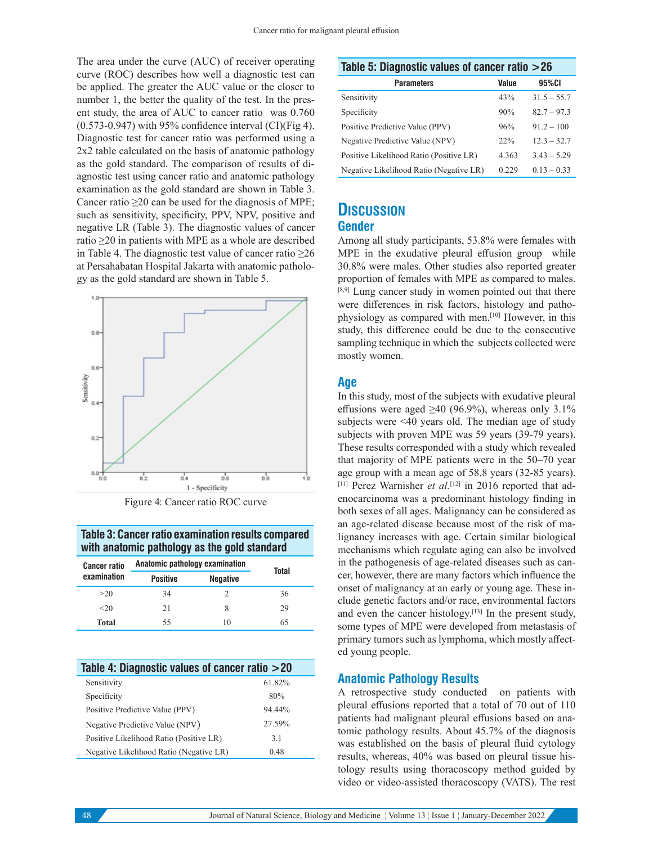The area under the curve (AUC) of receiver operating curve (ROC) describes how well a diagnostic test can be applied. The greater the AUC value or the closer to number 1, the better the quality of the test. In the present study, the area of AUC to cancer ratio was 0.760  $(0.573-0.947)$  with 95% confidence interval  $\text{(CI)}$ (Fig 4). Diagnostic test for cancer ratio was performed using a 2x2 table calculated on the basis of anatomic pathology as the gold standard. The comparison of results of diagnostic test using cancer ratio and anatomic pathology examination as the gold standard are shown in Table 3. Cancer ratio  $\geq$ 20 can be used for the diagnosis of MPE; such as sensitivity, specificity, PPV, NPV, positive and negative LR (Table 3). The diagnostic values of cancer ratio ≥20 in patients with MPE as a whole are described in Table 4. The diagnostic test value of cancer ratio  $\geq 26$ at Persahabatan Hospital Jakarta with anatomic pathology as the gold standard are shown in Table 5.





#### **Table 3: Cancer ratio examination results compared with anatomic pathology as the gold standard**

| <b>Cancer ratio</b> | Anatomic pathology examination | Total           |    |  |
|---------------------|--------------------------------|-----------------|----|--|
| examination         | <b>Positive</b>                | <b>Negative</b> |    |  |
| >20                 | 34                             |                 | 36 |  |
| $20$                | 21                             | 8               | 29 |  |
| Total               | 55                             | 10              | 65 |  |

| Table 4: Diagnostic values of cancer ratio > 20 |        |  |  |
|-------------------------------------------------|--------|--|--|
| Sensitivity                                     | 61.82% |  |  |
| Specificity                                     | 80%    |  |  |
| Positive Predictive Value (PPV)                 | 94.44% |  |  |
| Negative Predictive Value (NPV)                 | 27.59% |  |  |
| Positive Likelihood Ratio (Positive LR)         | 3.1    |  |  |
| Negative Likelihood Ratio (Negative LR)         | 0.48   |  |  |

| Table 5: Diagnostic values of cancer ratio >26 |  |  |
|------------------------------------------------|--|--|
|                                                |  |  |

| <b>Parameters</b>                       | Value | 95%CI         |
|-----------------------------------------|-------|---------------|
| Sensitivity                             | 43%   | $31.5 - 55.7$ |
| Specificity                             | 90%   | $82.7 - 97.3$ |
| Positive Predictive Value (PPV)         | 96%   | $91.2 - 100$  |
| Negative Predictive Value (NPV)         | 22%   | $12.3 - 32.7$ |
| Positive Likelihood Ratio (Positive LR) | 4.363 | $3.43 - 5.29$ |
| Negative Likelihood Ratio (Negative LR) | 0.229 | $0.13 - 0.33$ |

# **DISCUSSION**

#### **Gender**

Among all study participants, 53.8% were females with MPE in the exudative pleural effusion group while 30.8% were males. Other studies also reported greater proportion of females with MPE as compared to males. [8,9] Lung cancer study in women pointed out that there were differences in risk factors, histology and pathophysiology as compared with men.[10] However, in this study, this difference could be due to the consecutive sampling technique in which the subjects collected were mostly women.

#### **Age**

In this study, most of the subjects with exudative pleural effusions were aged  $\geq 40$  (96.9%), whereas only 3.1% subjects were <40 years old. The median age of study subjects with proven MPE was 59 years (39-79 years). These results corresponded with a study which revealed that majority of MPE patients were in the 50–70 year age group with a mean age of 58.8 years (32-85 years). [11] Perez Warnisher *et al.*<sup>[12]</sup> in 2016 reported that adenocarcinoma was a predominant histology finding in both sexes of all ages. Malignancy can be considered as an age-related disease because most of the risk of malignancy increases with age. Certain similar biological mechanisms which regulate aging can also be involved in the pathogenesis of age-related diseases such as cancer, however, there are many factors which influence the onset of malignancy at an early or young age. These include genetic factors and/or race, environmental factors and even the cancer histology.<sup>[13]</sup> In the present study, some types of MPE were developed from metastasis of primary tumors such as lymphoma, which mostly affected young people.

#### **Anatomic Pathology Results**

A retrospective study conducted on patients with pleural effusions reported that a total of 70 out of 110 patients had malignant pleural effusions based on anatomic pathology results. About 45.7% of the diagnosis was established on the basis of pleural fluid cytology results, whereas, 40% was based on pleural tissue histology results using thoracoscopy method guided by video or video-assisted thoracoscopy (VATS). The rest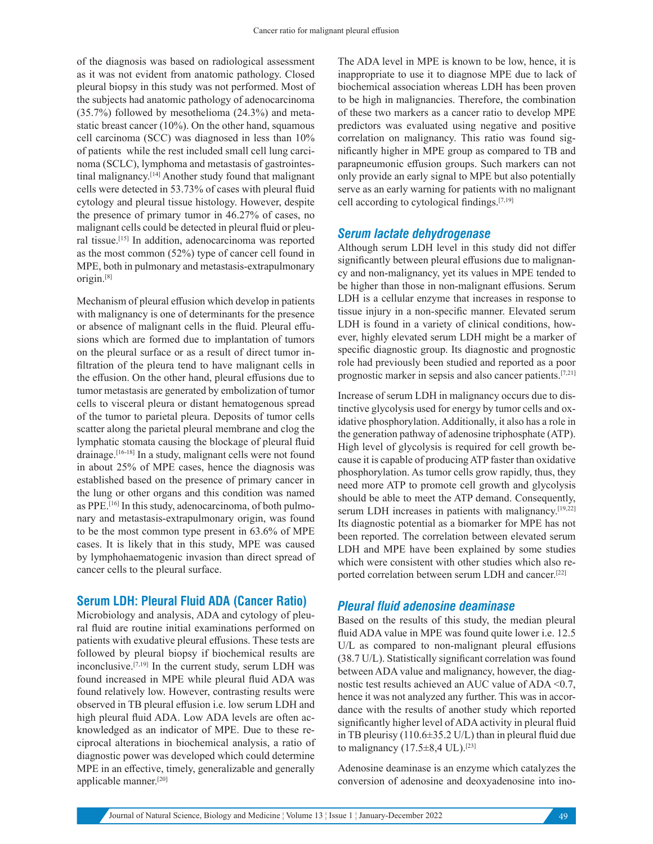of the diagnosis was based on radiological assessment as it was not evident from anatomic pathology. Closed pleural biopsy in this study was not performed. Most of the subjects had anatomic pathology of adenocarcinoma (35.7%) followed by mesothelioma (24.3%) and metastatic breast cancer (10%). On the other hand, squamous cell carcinoma (SCC) was diagnosed in less than 10% of patients while the rest included small cell lung carcinoma (SCLC), lymphoma and metastasis of gastrointestinal malignancy.[14] Another study found that malignant cells were detected in 53.73% of cases with pleural fluid cytology and pleural tissue histology. However, despite the presence of primary tumor in 46.27% of cases, no malignant cells could be detected in pleural fluid or pleural tissue.[15] In addition, adenocarcinoma was reported as the most common (52%) type of cancer cell found in MPE, both in pulmonary and metastasis-extrapulmonary origin.[8]

Mechanism of pleural effusion which develop in patients with malignancy is one of determinants for the presence or absence of malignant cells in the fluid. Pleural effusions which are formed due to implantation of tumors on the pleural surface or as a result of direct tumor infiltration of the pleura tend to have malignant cells in the effusion. On the other hand, pleural effusions due to tumor metastasis are generated by embolization of tumor cells to visceral pleura or distant hematogenous spread of the tumor to parietal pleura. Deposits of tumor cells scatter along the parietal pleural membrane and clog the lymphatic stomata causing the blockage of pleural fluid drainage.[16-18] In a study, malignant cells were not found in about 25% of MPE cases, hence the diagnosis was established based on the presence of primary cancer in the lung or other organs and this condition was named as PPE.[16] In this study, adenocarcinoma, of both pulmonary and metastasis-extrapulmonary origin, was found to be the most common type present in 63.6% of MPE cases. It is likely that in this study, MPE was caused by lymphohaematogenic invasion than direct spread of cancer cells to the pleural surface.

#### **Serum LDH: Pleural Fluid ADA (Cancer Ratio)**

Microbiology and analysis, ADA and cytology of pleural fluid are routine initial examinations performed on patients with exudative pleural effusions. These tests are followed by pleural biopsy if biochemical results are inconclusive.[7,19] In the current study, serum LDH was found increased in MPE while pleural fluid ADA was found relatively low. However, contrasting results were observed in TB pleural effusion i.e. low serum LDH and high pleural fluid ADA. Low ADA levels are often acknowledged as an indicator of MPE. Due to these reciprocal alterations in biochemical analysis, a ratio of diagnostic power was developed which could determine MPE in an effective, timely, generalizable and generally applicable manner.[20]

The ADA level in MPE is known to be low, hence, it is inappropriate to use it to diagnose MPE due to lack of biochemical association whereas LDH has been proven to be high in malignancies. Therefore, the combination of these two markers as a cancer ratio to develop MPE predictors was evaluated using negative and positive correlation on malignancy. This ratio was found significantly higher in MPE group as compared to TB and parapneumonic effusion groups. Such markers can not only provide an early signal to MPE but also potentially serve as an early warning for patients with no malignant cell according to cytological findings.[7,19]

#### *Serum lactate dehydrogenase*

Although serum LDH level in this study did not differ significantly between pleural effusions due to malignancy and non-malignancy, yet its values in MPE tended to be higher than those in non-malignant effusions. Serum LDH is a cellular enzyme that increases in response to tissue injury in a non-specific manner. Elevated serum LDH is found in a variety of clinical conditions, however, highly elevated serum LDH might be a marker of specific diagnostic group. Its diagnostic and prognostic role had previously been studied and reported as a poor prognostic marker in sepsis and also cancer patients.[7,21]

Increase of serum LDH in malignancy occurs due to distinctive glycolysis used for energy by tumor cells and oxidative phosphorylation. Additionally, it also has a role in the generation pathway of adenosine triphosphate (ATP). High level of glycolysis is required for cell growth because it is capable of producing ATP faster than oxidative phosphorylation. As tumor cells grow rapidly, thus, they need more ATP to promote cell growth and glycolysis should be able to meet the ATP demand. Consequently, serum LDH increases in patients with malignancy.<sup>[19,22]</sup> Its diagnostic potential as a biomarker for MPE has not been reported. The correlation between elevated serum LDH and MPE have been explained by some studies which were consistent with other studies which also reported correlation between serum LDH and cancer.[22]

#### *Pleural fluid adenosine deaminase*

Based on the results of this study, the median pleural fluid ADA value in MPE was found quite lower i.e. 12.5 U/L as compared to non-malignant pleural effusions (38.7 U/L). Statistically significant correlation was found between ADA value and malignancy, however, the diagnostic test results achieved an AUC value of ADA <0.7, hence it was not analyzed any further. This was in accordance with the results of another study which reported significantly higher level of ADA activity in pleural fluid in TB pleurisy (110.6±35.2 U/L) than in pleural fluid due to malignancy  $(17.5\pm8.4 \text{ UL})$ .<sup>[23]</sup>

Adenosine deaminase is an enzyme which catalyzes the conversion of adenosine and deoxyadenosine into ino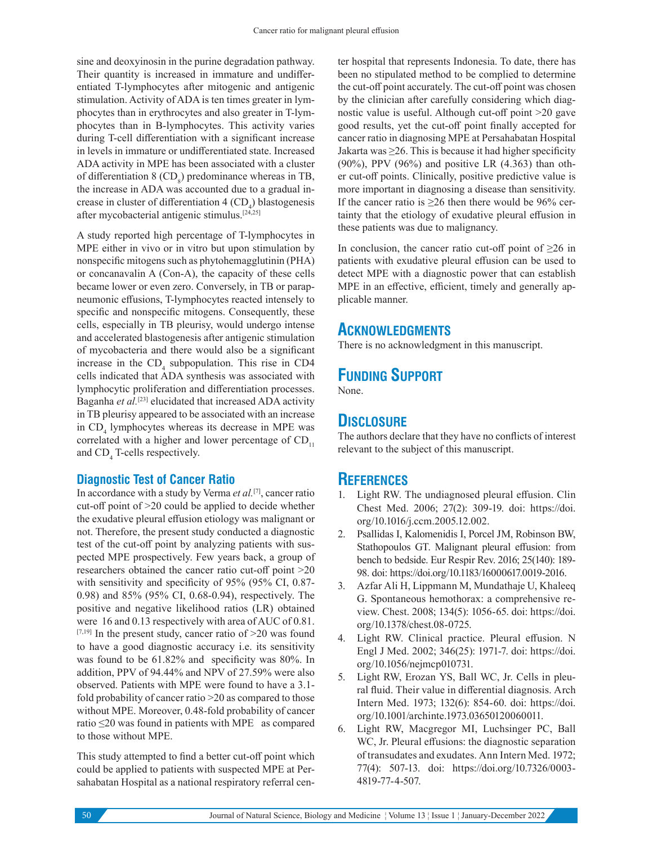sine and deoxyinosin in the purine degradation pathway. Their quantity is increased in immature and undifferentiated T-lymphocytes after mitogenic and antigenic stimulation. Activity of ADA is ten times greater in lymphocytes than in erythrocytes and also greater in T-lymphocytes than in B-lymphocytes. This activity varies during T-cell differentiation with a significant increase in levels in immature or undifferentiated state. Increased ADA activity in MPE has been associated with a cluster of differentiation  $8 \text{ (CD}_8)$  predominance whereas in TB, the increase in ADA was accounted due to a gradual increase in cluster of differentiation  $4 \,({\rm CD}_{4})$  blastogenesis after mycobacterial antigenic stimulus.[24,25]

A study reported high percentage of T-lymphocytes in MPE either in vivo or in vitro but upon stimulation by nonspecific mitogens such as phytohemagglutinin (PHA) or concanavalin A (Con-A), the capacity of these cells became lower or even zero. Conversely, in TB or parapneumonic effusions, T-lymphocytes reacted intensely to specific and nonspecific mitogens. Consequently, these cells, especially in TB pleurisy, would undergo intense and accelerated blastogenesis after antigenic stimulation of mycobacteria and there would also be a significant increase in the  $CD_4$  subpopulation. This rise in CD4 cells indicated that ADA synthesis was associated with lymphocytic proliferation and differentiation processes. Baganha *et al.*[23] elucidated that increased ADA activity in TB pleurisy appeared to be associated with an increase in  $CD_4$  lymphocytes whereas its decrease in MPE was correlated with a higher and lower percentage of  $CD_{11}$ and  $CD_4$  T-cells respectively.

#### **Diagnostic Test of Cancer Ratio**

In accordance with a study by Verma *et al.*[7], cancer ratio cut-off point of >20 could be applied to decide whether the exudative pleural effusion etiology was malignant or not. Therefore, the present study conducted a diagnostic test of the cut-off point by analyzing patients with suspected MPE prospectively. Few years back, a group of researchers obtained the cancer ratio cut-off point >20 with sensitivity and specificity of 95% (95% CI, 0.87- 0.98) and 85% (95% CI, 0.68-0.94), respectively. The positive and negative likelihood ratios (LR) obtained were 16 and 0.13 respectively with area of AUC of 0.81.  $[7,19]$  In the present study, cancer ratio of  $>20$  was found to have a good diagnostic accuracy i.e. its sensitivity was found to be 61.82% and specificity was 80%. In addition, PPV of 94.44% and NPV of 27.59% were also observed. Patients with MPE were found to have a 3.1 fold probability of cancer ratio >20 as compared to those without MPE. Moreover, 0.48-fold probability of cancer ratio ≤20 was found in patients with MPE as compared to those without MPE.

This study attempted to find a better cut-off point which could be applied to patients with suspected MPE at Persahabatan Hospital as a national respiratory referral center hospital that represents Indonesia. To date, there has been no stipulated method to be complied to determine the cut-off point accurately. The cut-off point was chosen by the clinician after carefully considering which diagnostic value is useful. Although cut-off point >20 gave good results, yet the cut-off point finally accepted for cancer ratio in diagnosing MPE at Persahabatan Hospital Jakarta was  $\geq$ 26. This is because it had higher specificity (90%), PPV (96%) and positive LR (4.363) than other cut-off points. Clinically, positive predictive value is more important in diagnosing a disease than sensitivity. If the cancer ratio is  $\geq 26$  then there would be 96% certainty that the etiology of exudative pleural effusion in these patients was due to malignancy.

In conclusion, the cancer ratio cut-off point of  $\geq 26$  in patients with exudative pleural effusion can be used to detect MPE with a diagnostic power that can establish MPE in an effective, efficient, timely and generally applicable manner.

#### **ACKNOWLEDGMENTS**

There is no acknowledgment in this manuscript.

# **FUNDING SUPPORT**

None.

# **DISCLOSURE**

The authors declare that they have no conflicts of interest relevant to the subject of this manuscript.

### **REFERENCES**

- Light RW. The undiagnosed pleural effusion. Clin Chest Med. 2006; 27(2): 309-19. doi: https://doi. org/10.1016/j.ccm.2005.12.002.
- 2. Psallidas I, Kalomenidis I, Porcel JM, Robinson BW, Stathopoulos GT. Malignant pleural effusion: from bench to bedside. Eur Respir Rev. 2016; 25(140): 189- 98. doi: https://doi.org/10.1183/16000617.0019-2016.
- 3. Azfar Ali H, Lippmann M, Mundathaje U, Khaleeq G. Spontaneous hemothorax: a comprehensive review. Chest. 2008; 134(5): 1056-65. doi: https://doi. org/10.1378/chest.08-0725.
- 4. Light RW. Clinical practice. Pleural effusion. N Engl J Med. 2002; 346(25): 1971-7. doi: https://doi. org/10.1056/nejmcp010731.
- 5. Light RW, Erozan YS, Ball WC, Jr. Cells in pleural fluid. Their value in differential diagnosis. Arch Intern Med. 1973; 132(6): 854-60. doi: https://doi. org/10.1001/archinte.1973.03650120060011.
- 6. Light RW, Macgregor MI, Luchsinger PC, Ball WC, Jr. Pleural effusions: the diagnostic separation of transudates and exudates. Ann Intern Med. 1972; 77(4): 507-13. doi: https://doi.org/10.7326/0003- 4819-77-4-507.